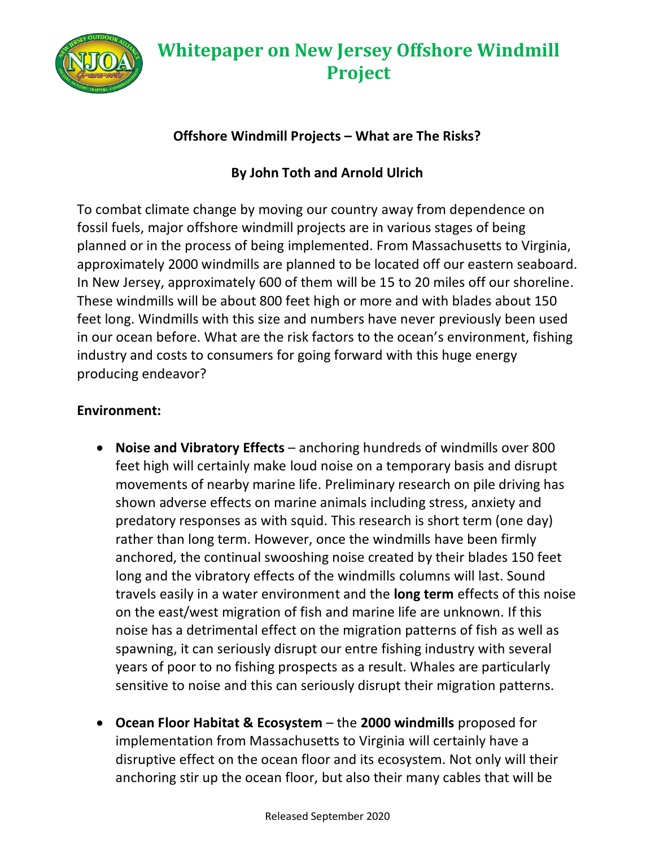

#### **Offshore Windmill Projects – What are The Risks?**

#### **By John Toth and Arnold Ulrich**

To combat climate change by moving our country away from dependence on fossil fuels, major offshore windmill projects are in various stages of being planned or in the process of being implemented. From Massachusetts to Virginia, approximately 2000 windmills are planned to be located off our eastern seaboard. In New Jersey, approximately 600 of them will be 15 to 20 miles off our shoreline. These windmills will be about 800 feet high or more and with blades about 150 feet long. Windmills with this size and numbers have never previously been used in our ocean before. What are the risk factors to the ocean's environment, fishing industry and costs to consumers for going forward with this huge energy producing endeavor?

#### **Environment:**

- **Noise and Vibratory Effects**  anchoring hundreds of windmills over 800 feet high will certainly make loud noise on a temporary basis and disrupt movements of nearby marine life. Preliminary research on pile driving has shown adverse effects on marine animals including stress, anxiety and predatory responses as with squid. This research is short term (one day) rather than long term. However, once the windmills have been firmly anchored, the continual swooshing noise created by their blades 150 feet long and the vibratory effects of the windmills columns will last. Sound travels easily in a water environment and the **long term** effects of this noise on the east/west migration of fish and marine life are unknown. If this noise has a detrimental effect on the migration patterns of fish as well as spawning, it can seriously disrupt our entre fishing industry with several years of poor to no fishing prospects as a result. Whales are particularly sensitive to noise and this can seriously disrupt their migration patterns.
- **Ocean Floor Habitat & Ecosystem**  the **2000 windmills** proposed for implementation from Massachusetts to Virginia will certainly have a disruptive effect on the ocean floor and its ecosystem. Not only will their anchoring stir up the ocean floor, but also their many cables that will be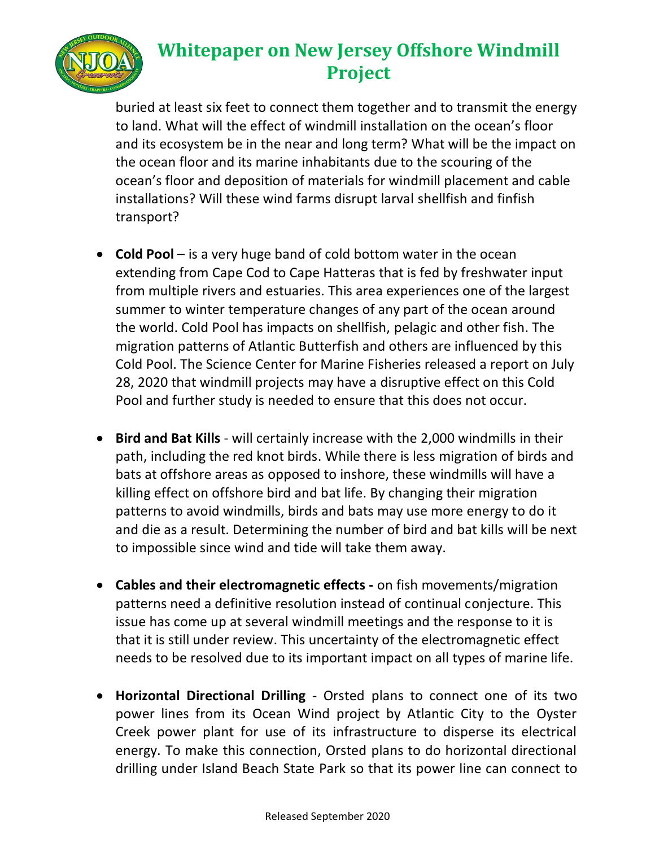

buried at least six feet to connect them together and to transmit the energy to land. What will the effect of windmill installation on the ocean's floor and its ecosystem be in the near and long term? What will be the impact on the ocean floor and its marine inhabitants due to the scouring of the ocean's floor and deposition of materials for windmill placement and cable installations? Will these wind farms disrupt larval shellfish and finfish transport?

- **Cold Pool**  is a very huge band of cold bottom water in the ocean extending from Cape Cod to Cape Hatteras that is fed by freshwater input from multiple rivers and estuaries. This area experiences one of the largest summer to winter temperature changes of any part of the ocean around the world. Cold Pool has impacts on shellfish, pelagic and other fish. The migration patterns of Atlantic Butterfish and others are influenced by this Cold Pool. The Science Center for Marine Fisheries released a report on July 28, 2020 that windmill projects may have a disruptive effect on this Cold Pool and further study is needed to ensure that this does not occur.
- **Bird and Bat Kills**  will certainly increase with the 2,000 windmills in their path, including the red knot birds. While there is less migration of birds and bats at offshore areas as opposed to inshore, these windmills will have a killing effect on offshore bird and bat life. By changing their migration patterns to avoid windmills, birds and bats may use more energy to do it and die as a result. Determining the number of bird and bat kills will be next to impossible since wind and tide will take them away.
- **Cables and their electromagnetic effects -** on fish movements/migration patterns need a definitive resolution instead of continual conjecture. This issue has come up at several windmill meetings and the response to it is that it is still under review. This uncertainty of the electromagnetic effect needs to be resolved due to its important impact on all types of marine life.
- **Horizontal Directional Drilling**  Orsted plans to connect one of its two power lines from its Ocean Wind project by Atlantic City to the Oyster Creek power plant for use of its infrastructure to disperse its electrical energy. To make this connection, Orsted plans to do horizontal directional drilling under Island Beach State Park so that its power line can connect to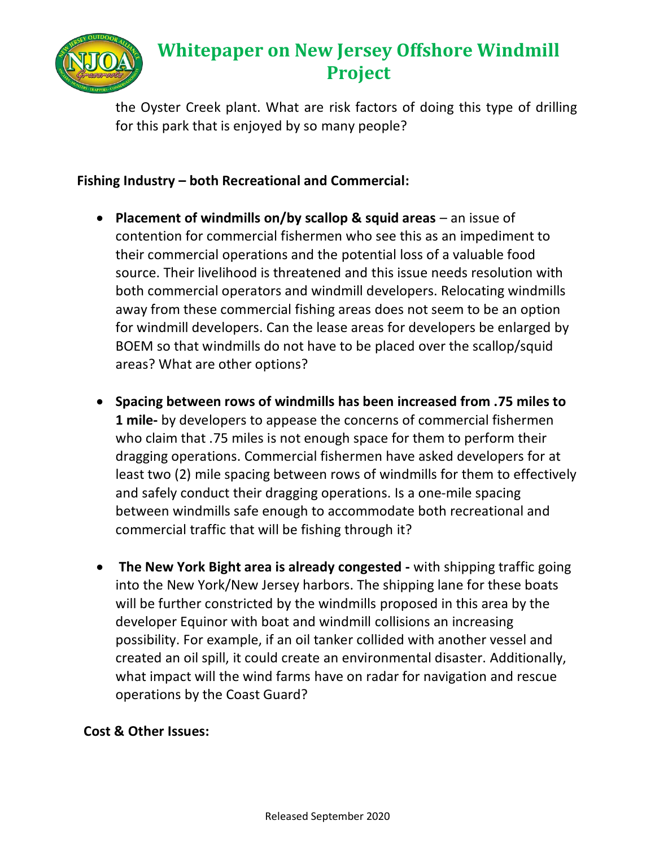

the Oyster Creek plant. What are risk factors of doing this type of drilling for this park that is enjoyed by so many people?

#### **Fishing Industry – both Recreational and Commercial:**

- **Placement of windmills on/by scallop & squid areas** an issue of contention for commercial fishermen who see this as an impediment to their commercial operations and the potential loss of a valuable food source. Their livelihood is threatened and this issue needs resolution with both commercial operators and windmill developers. Relocating windmills away from these commercial fishing areas does not seem to be an option for windmill developers. Can the lease areas for developers be enlarged by BOEM so that windmills do not have to be placed over the scallop/squid areas? What are other options?
- **Spacing between rows of windmills has been increased from .75 miles to 1 mile-** by developers to appease the concerns of commercial fishermen who claim that .75 miles is not enough space for them to perform their dragging operations. Commercial fishermen have asked developers for at least two (2) mile spacing between rows of windmills for them to effectively and safely conduct their dragging operations. Is a one-mile spacing between windmills safe enough to accommodate both recreational and commercial traffic that will be fishing through it?
- **The New York Bight area is already congested -** with shipping traffic going into the New York/New Jersey harbors. The shipping lane for these boats will be further constricted by the windmills proposed in this area by the developer Equinor with boat and windmill collisions an increasing possibility. For example, if an oil tanker collided with another vessel and created an oil spill, it could create an environmental disaster. Additionally, what impact will the wind farms have on radar for navigation and rescue operations by the Coast Guard?

#### **Cost & Other Issues:**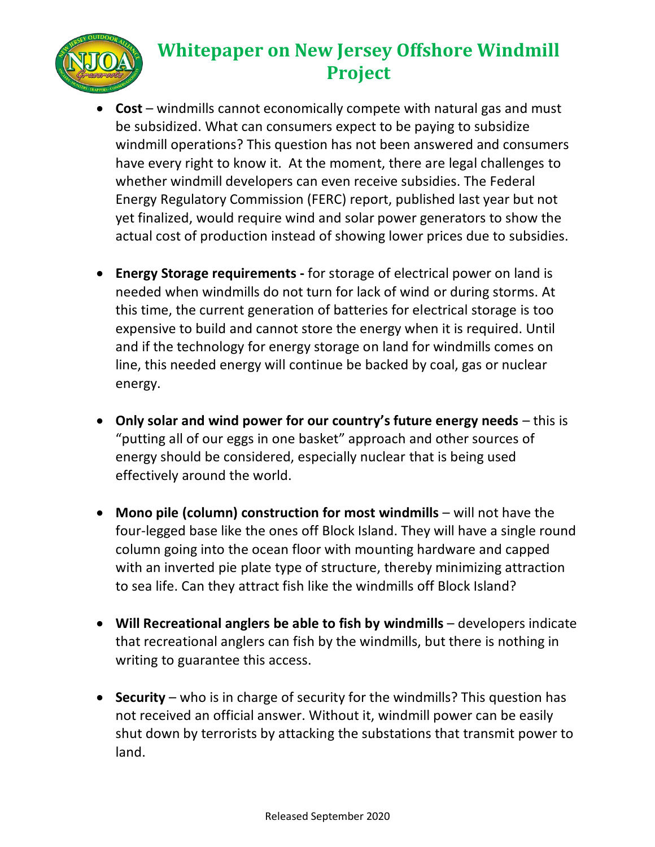

- **Cost**  windmills cannot economically compete with natural gas and must be subsidized. What can consumers expect to be paying to subsidize windmill operations? This question has not been answered and consumers have every right to know it. At the moment, there are legal challenges to whether windmill developers can even receive subsidies. The Federal Energy Regulatory Commission (FERC) report, published last year but not yet finalized, would require wind and solar power generators to show the actual cost of production instead of showing lower prices due to subsidies.
- **Energy Storage requirements -** for storage of electrical power on land is needed when windmills do not turn for lack of wind or during storms. At this time, the current generation of batteries for electrical storage is too expensive to build and cannot store the energy when it is required. Until and if the technology for energy storage on land for windmills comes on line, this needed energy will continue be backed by coal, gas or nuclear energy.
- **Only solar and wind power for our country's future energy needs**  this is "putting all of our eggs in one basket" approach and other sources of energy should be considered, especially nuclear that is being used effectively around the world.
- **Mono pile (column) construction for most windmills** will not have the four-legged base like the ones off Block Island. They will have a single round column going into the ocean floor with mounting hardware and capped with an inverted pie plate type of structure, thereby minimizing attraction to sea life. Can they attract fish like the windmills off Block Island?
- **Will Recreational anglers be able to fish by windmills** developers indicate that recreational anglers can fish by the windmills, but there is nothing in writing to guarantee this access.
- **Security** who is in charge of security for the windmills? This question has not received an official answer. Without it, windmill power can be easily shut down by terrorists by attacking the substations that transmit power to land.